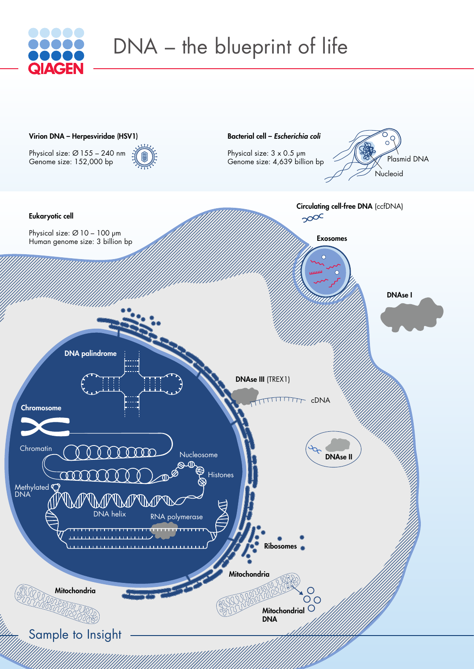



## DNA – the blueprint of life